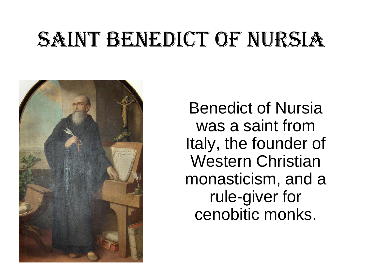### SAINT BENEDICT OF NURSIA



Benedict of Nursia was a saint from Italy, the founder of Western Christian monasticism, and a rule-giver for cenobitic monks.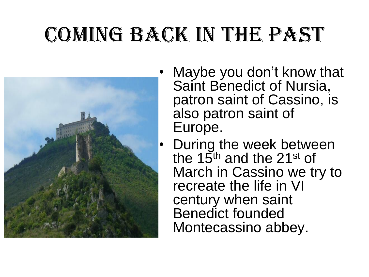### Coming back in the past



- Maybe you don't know that Saint Benedict of Nursia, patron saint of Cassino, is also patron saint of Europe.
- During the week between the 15<sup>th</sup> and the 21<sup>st</sup> of March in Cassino we try to recreate the life in VI century when saint Benedict founded Montecassino abbey.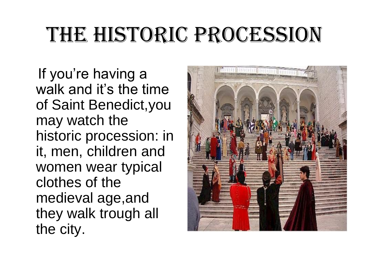#### The historic procession

If you're having a walk and it's the time of Saint Benedict,you may watch the historic procession: in it, men, children and women wear typical clothes of the medieval age,and they walk trough all the city.

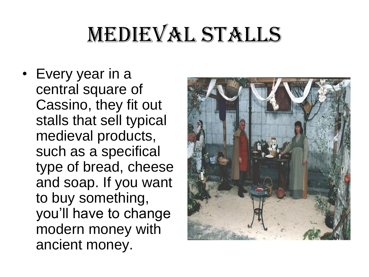# MEDIEVAL STALLS

• Every year in a central square of Cassino, they fit out stalls that sell typical medieval products, such as a specifical type of bread, cheese and soap. If you want to buy something, you'll have to change modern money with ancient money.

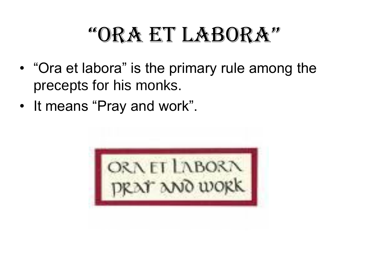#### "Ora et labOra"

- "Ora et labora" is the primary rule among the precepts for his monks.
- It means "Pray and work".